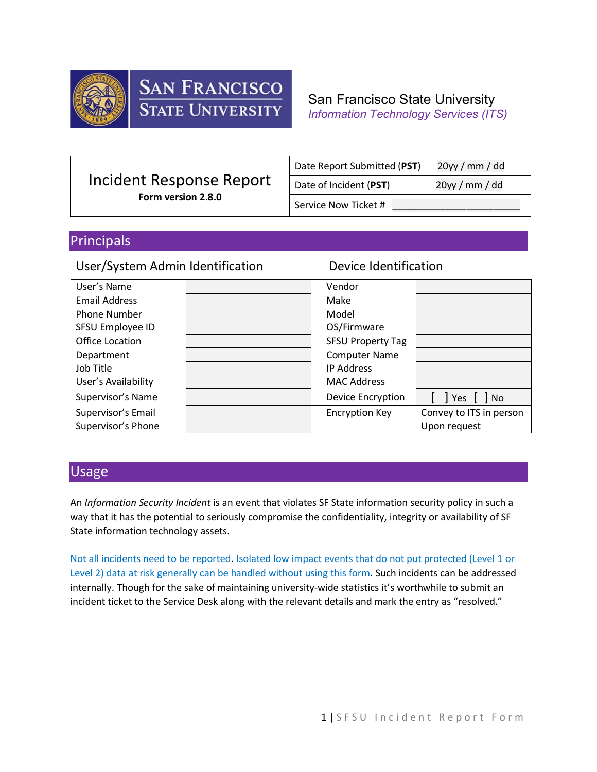



San Francisco State University *Information Technology Services (ITS)*

|                                                | Date Report Submitted (PST) | $20$ yy / mm / dd |
|------------------------------------------------|-----------------------------|-------------------|
| Incident Response Report<br>Form version 2.8.0 | Date of Incident (PST)      | $20$ yy / mm / dd |
|                                                | Service Now Ticket #        |                   |

# Principals

User/System Admin Identification Device Identification

| User's Name          | Vendor                   |                         |
|----------------------|--------------------------|-------------------------|
| <b>Email Address</b> | Make                     |                         |
| <b>Phone Number</b>  | Model                    |                         |
| SFSU Employee ID     | OS/Firmware              |                         |
| Office Location      | <b>SFSU Property Tag</b> |                         |
| Department           | <b>Computer Name</b>     |                         |
| Job Title            | <b>IP Address</b>        |                         |
| User's Availability  | <b>MAC Address</b>       |                         |
| Supervisor's Name    | Device Encryption        | Yes     No              |
| Supervisor's Email   | <b>Encryption Key</b>    | Convey to ITS in person |
| Supervisor's Phone   |                          | Upon request            |

## Usage

An *Information Security Incident* is an event that violates SF State information security policy in such a way that it has the potential to seriously compromise the confidentiality, integrity or availability of SF State information technology assets.

Not all incidents need to be reported. Isolated low impact events that do not put protected (Level 1 or Level 2) data at risk generally can be handled without using this form. Such incidents can be addressed internally. Though for the sake of maintaining university-wide statistics it's worthwhile to submit an incident ticket to the Service Desk along with the relevant details and mark the entry as "resolved."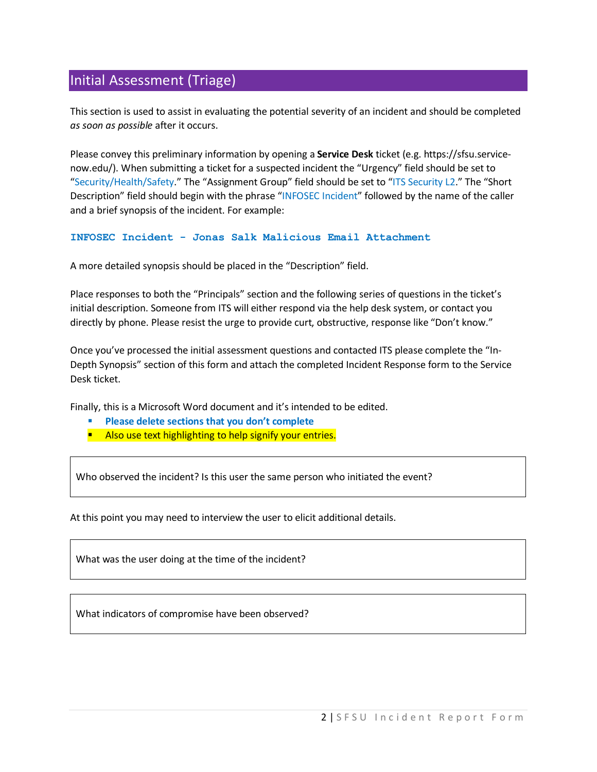# Initial Assessment (Triage)

This section is used to assist in evaluating the potential severity of an incident and should be completed *as soon as possible* after it occurs.

Please convey this preliminary information by opening a **Service Desk** ticket (e.g. https://sfsu.servicenow.edu/). When submitting a ticket for a suspected incident the "Urgency" field should be set to "Security/Health/Safety." The "Assignment Group" field should be set to "ITS Security L2." The "Short Description" field should begin with the phrase "INFOSEC Incident" followed by the name of the caller and a brief synopsis of the incident. For example:

#### **INFOSEC Incident - Jonas Salk Malicious Email Attachment**

A more detailed synopsis should be placed in the "Description" field.

Place responses to both the "Principals" section and the following series of questions in the ticket's initial description. Someone from ITS will either respond via the help desk system, or contact you directly by phone. Please resist the urge to provide curt, obstructive, response like "Don't know."

Once you've processed the initial assessment questions and contacted ITS please complete the "In-Depth Synopsis" section of this form and attach the completed Incident Response form to the Service Desk ticket.

Finally, this is a Microsoft Word document and it's intended to be edited.

- **Please delete sections that you don't complete**
- **Also use text highlighting to help signify your entries.**

Who observed the incident? Is this user the same person who initiated the event?

At this point you may need to interview the user to elicit additional details.

What was the user doing at the time of the incident?

What indicators of compromise have been observed?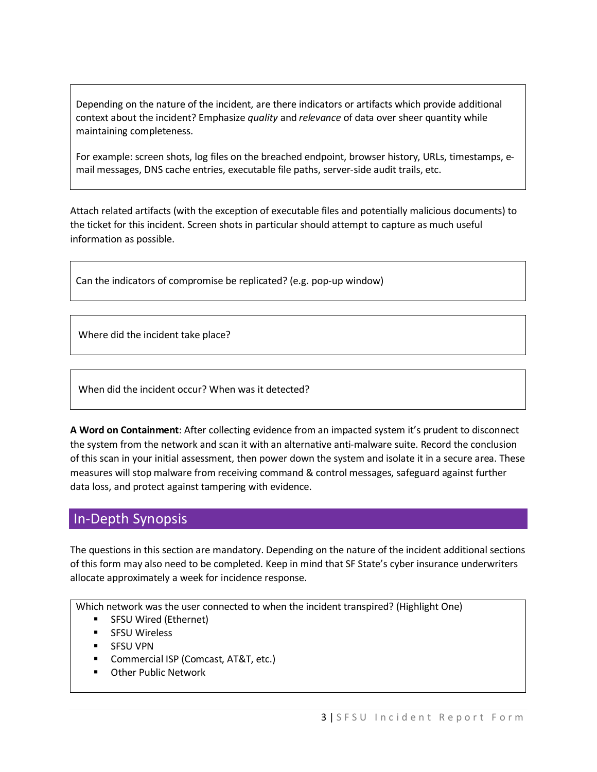Depending on the nature of the incident, are there indicators or artifacts which provide additional context about the incident? Emphasize *quality* and *relevance* of data over sheer quantity while maintaining completeness.

For example: screen shots, log files on the breached endpoint, browser history, URLs, timestamps, email messages, DNS cache entries, executable file paths, server-side audit trails, etc.

Attach related artifacts (with the exception of executable files and potentially malicious documents) to the ticket for this incident. Screen shots in particular should attempt to capture as much useful information as possible.

Can the indicators of compromise be replicated? (e.g. pop-up window)

Where did the incident take place?

When did the incident occur? When was it detected?

**A Word on Containment**: After collecting evidence from an impacted system it's prudent to disconnect the system from the network and scan it with an alternative anti-malware suite. Record the conclusion of this scan in your initial assessment, then power down the system and isolate it in a secure area. These measures will stop malware from receiving command & control messages, safeguard against further data loss, and protect against tampering with evidence.

# In-Depth Synopsis

The questions in this section are mandatory. Depending on the nature of the incident additional sections of this form may also need to be completed. Keep in mind that SF State's cyber insurance underwriters allocate approximately a week for incidence response.

Which network was the user connected to when the incident transpired? (Highlight One)

- **SFSU Wired (Ethernet)**
- SFSU Wireless
- **SFSU VPN**
- **Commercial ISP (Comcast, AT&T, etc.)**
- Other Public Network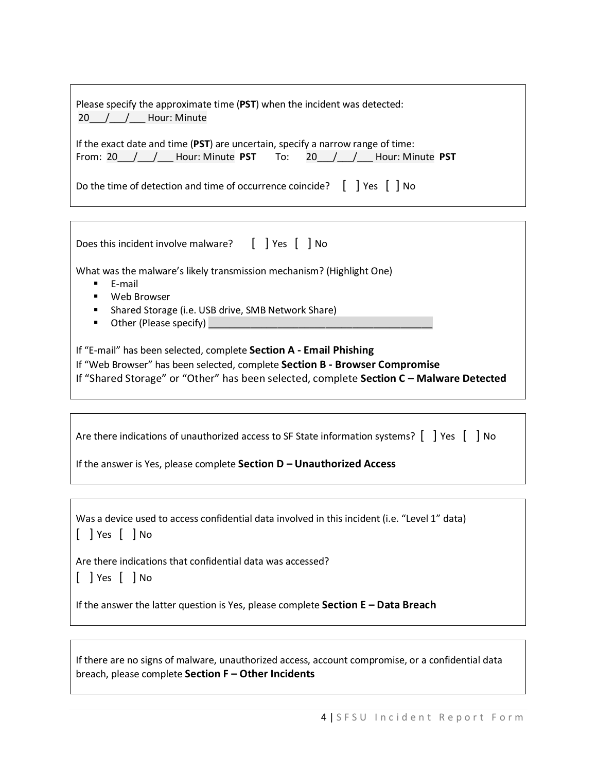| Please specify the approximate time (PST) when the incident was detected:<br>20 / / Hour: Minute                                               |
|------------------------------------------------------------------------------------------------------------------------------------------------|
| If the exact date and time (PST) are uncertain, specify a narrow range of time:<br>From: 20 $/$ / Hour: Minute PST To: 20 / / Hour: Minute PST |
| Do the time of detection and time of occurrence coincide? $\begin{bmatrix} \end{bmatrix}$ Yes $\begin{bmatrix} \end{bmatrix}$ No               |
|                                                                                                                                                |

Does this incident involve malware? [ ] Yes [ ] No

What was the malware's likely transmission mechanism? (Highlight One)

- E-mail
- Web Browser
- **Shared Storage (i.e. USB drive, SMB Network Share)**
- Other (Please specify)

If "E-mail" has been selected, complete **Section A - Email Phishing**

If "Web Browser" has been selected, complete **Section B - Browser Compromise**

If "Shared Storage" or "Other" has been selected, complete **Section C – Malware Detected**

Are there indications of unauthorized access to SF State information systems?  $\begin{bmatrix} \end{bmatrix}$  Yes  $\begin{bmatrix} \end{bmatrix}$  No

If the answer is Yes, please complete **Section D – Unauthorized Access**

Was a device used to access confidential data involved in this incident (i.e. "Level 1" data) [ ] Yes [ ] No

Are there indications that confidential data was accessed?

[ ] Yes [ ] No

If the answer the latter question is Yes, please complete **Section E – Data Breach**

If there are no signs of malware, unauthorized access, account compromise, or a confidential data breach, please complete **Section F – Other Incidents**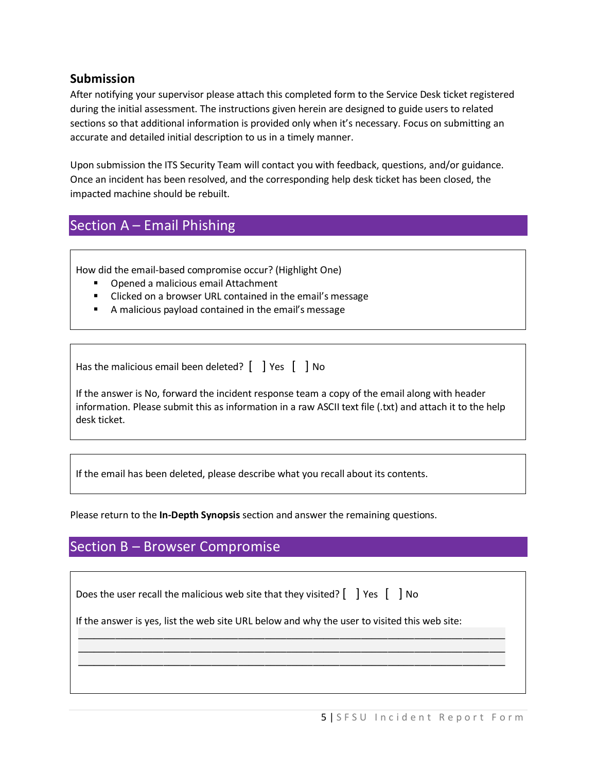### **Submission**

After notifying your supervisor please attach this completed form to the Service Desk ticket registered during the initial assessment. The instructions given herein are designed to guide users to related sections so that additional information is provided only when it's necessary. Focus on submitting an accurate and detailed initial description to us in a timely manner.

Upon submission the ITS Security Team will contact you with feedback, questions, and/or guidance. Once an incident has been resolved, and the corresponding help desk ticket has been closed, the impacted machine should be rebuilt.

# Section A – Email Phishing

How did the email-based compromise occur? (Highlight One)

- **Opened a malicious email Attachment**
- Clicked on a browser URL contained in the email's message
- A malicious payload contained in the email's message

Has the malicious email been deleted?  $\begin{bmatrix} \end{bmatrix}$  Yes  $\begin{bmatrix} \end{bmatrix}$  No

If the answer is No, forward the incident response team a copy of the email along with header information. Please submit this as information in a raw ASCII text file (.txt) and attach it to the help desk ticket.

If the email has been deleted, please describe what you recall about its contents.

Please return to the **In-Depth Synopsis** section and answer the remaining questions.

# Section B – Browser Compromise

Does the user recall the malicious web site that they visited?  $\begin{bmatrix} \end{bmatrix}$  Yes  $\begin{bmatrix} \end{bmatrix}$  No

If the answer is yes, list the web site URL below and why the user to visited this web site:

\_\_\_\_\_\_\_\_\_\_\_\_\_\_\_\_\_\_\_\_\_\_\_\_\_\_\_\_\_\_\_\_\_\_\_\_\_\_\_\_\_\_\_\_\_\_\_\_\_\_\_\_\_\_\_\_\_\_\_\_\_\_\_\_\_\_\_\_\_\_\_\_\_\_\_\_\_\_\_\_ \_\_\_\_\_\_\_\_\_\_\_\_\_\_\_\_\_\_\_\_\_\_\_\_\_\_\_\_\_\_\_\_\_\_\_\_\_\_\_\_\_\_\_\_\_\_\_\_\_\_\_\_\_\_\_\_\_\_\_\_\_\_\_\_\_\_\_\_\_\_\_\_\_\_\_\_\_\_\_\_ \_\_\_\_\_\_\_\_\_\_\_\_\_\_\_\_\_\_\_\_\_\_\_\_\_\_\_\_\_\_\_\_\_\_\_\_\_\_\_\_\_\_\_\_\_\_\_\_\_\_\_\_\_\_\_\_\_\_\_\_\_\_\_\_\_\_\_\_\_\_\_\_\_\_\_\_\_\_\_\_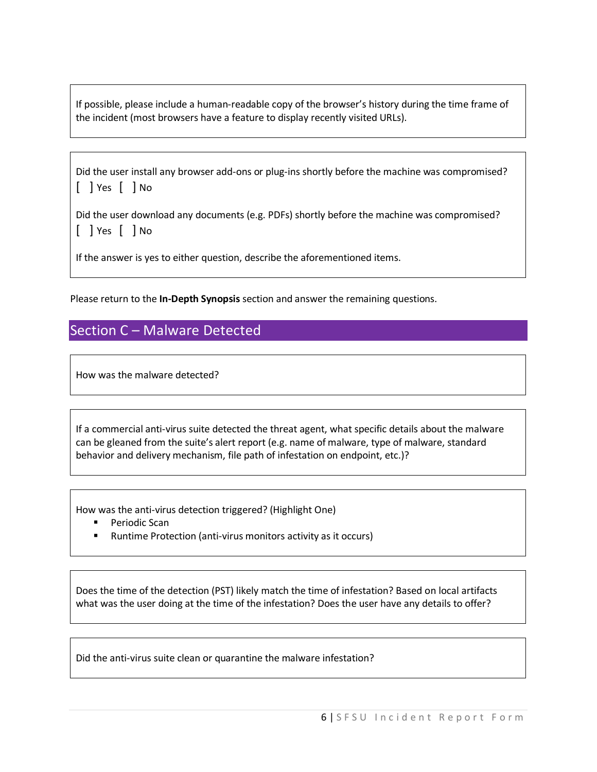If possible, please include a human-readable copy of the browser's history during the time frame of the incident (most browsers have a feature to display recently visited URLs).

Did the user install any browser add-ons or plug-ins shortly before the machine was compromised? [ ] Yes [ ] No

Did the user download any documents (e.g. PDFs) shortly before the machine was compromised? [ ] Yes [ ] No

If the answer is yes to either question, describe the aforementioned items.

Please return to the **In-Depth Synopsis** section and answer the remaining questions.

# Section C – Malware Detected

How was the malware detected?

If a commercial anti-virus suite detected the threat agent, what specific details about the malware can be gleaned from the suite's alert report (e.g. name of malware, type of malware, standard behavior and delivery mechanism, file path of infestation on endpoint, etc.)?

How was the anti-virus detection triggered? (Highlight One)

- Periodic Scan
- Runtime Protection (anti-virus monitors activity as it occurs)

Does the time of the detection (PST) likely match the time of infestation? Based on local artifacts what was the user doing at the time of the infestation? Does the user have any details to offer?

Did the anti-virus suite clean or quarantine the malware infestation?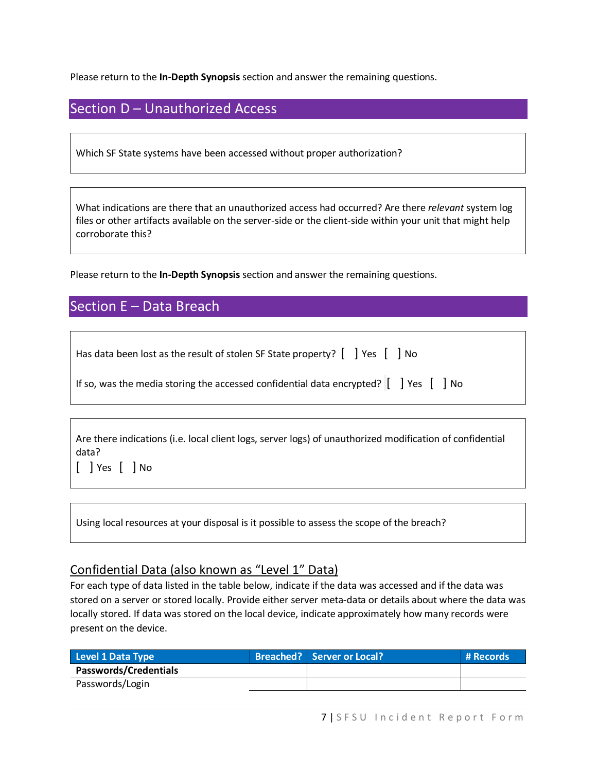Please return to the **In-Depth Synopsis** section and answer the remaining questions.

# Section D – Unauthorized Access

Which SF State systems have been accessed without proper authorization?

What indications are there that an unauthorized access had occurred? Are there *relevant* system log files or other artifacts available on the server-side or the client-side within your unit that might help corroborate this?

Please return to the **In-Depth Synopsis** section and answer the remaining questions.

# Section E – Data Breach

Has data been lost as the result of stolen SF State property?  $\begin{bmatrix} \end{bmatrix}$  Yes  $\begin{bmatrix} \end{bmatrix}$  No

| If so, was the media storing the accessed confidential data encrypted? $\begin{bmatrix} 1 \end{bmatrix}$ Yes $\begin{bmatrix} 1 \end{bmatrix}$ No |  |  |  |  |
|---------------------------------------------------------------------------------------------------------------------------------------------------|--|--|--|--|
|---------------------------------------------------------------------------------------------------------------------------------------------------|--|--|--|--|

Are there indications (i.e. local client logs, server logs) of unauthorized modification of confidential data?

[ ] Yes [ ] No

Using local resources at your disposal is it possible to assess the scope of the breach?

## Confidential Data (also known as "Level 1" Data)

For each type of data listed in the table below, indicate if the data was accessed and if the data was stored on a server or stored locally. Provide either server meta-data or details about where the data was locally stored. If data was stored on the local device, indicate approximately how many records were present on the device.

| Level 1 Data Type     | <b>Breached?</b> Server or Local? | $\blacksquare$ # Records $\blacksquare$ |
|-----------------------|-----------------------------------|-----------------------------------------|
| Passwords/Credentials |                                   |                                         |
| Passwords/Login       |                                   |                                         |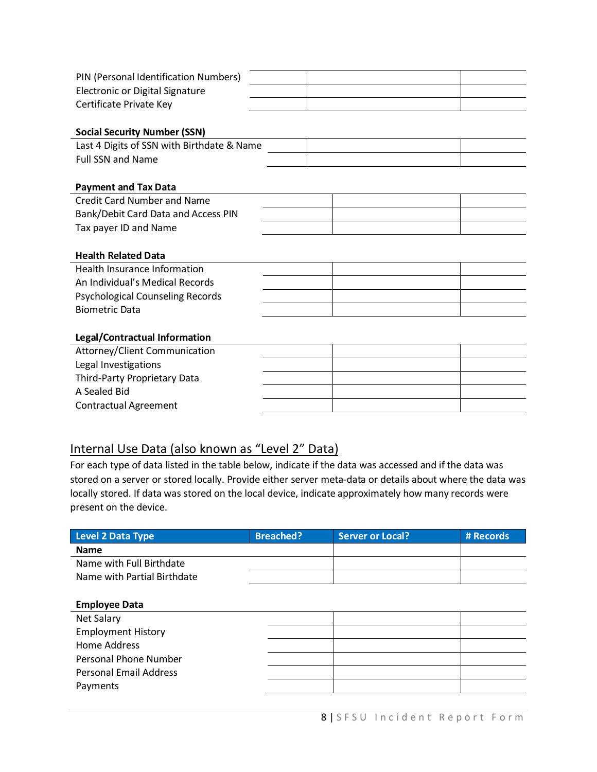| Last 4 Digits of SSN with Birthdate & Name |  |  |
|--------------------------------------------|--|--|
|                                            |  |  |
|                                            |  |  |
|                                            |  |  |
|                                            |  |  |
|                                            |  |  |
|                                            |  |  |
|                                            |  |  |
|                                            |  |  |
|                                            |  |  |

| Health Insurance Information            |  |  |
|-----------------------------------------|--|--|
| An Individual's Medical Records         |  |  |
| <b>Psychological Counseling Records</b> |  |  |
| Biometric Data                          |  |  |

# **Legal/Contractual Information**

| Attorney/Client Communication |  |  |
|-------------------------------|--|--|
| Legal Investigations          |  |  |
| Third-Party Proprietary Data  |  |  |
| A Sealed Bid                  |  |  |
| <b>Contractual Agreement</b>  |  |  |

# Internal Use Data (also known as "Level 2" Data)

For each type of data listed in the table below, indicate if the data was accessed and if the data was stored on a server or stored locally. Provide either server meta-data or details about where the data was locally stored. If data was stored on the local device, indicate approximately how many records were present on the device.

| <b>Level 2 Data Type</b>    | <b>Breached?</b> | <b>Server or Local?</b> | # Records |
|-----------------------------|------------------|-------------------------|-----------|
| <b>Name</b>                 |                  |                         |           |
| Name with Full Birthdate    |                  |                         |           |
| Name with Partial Birthdate |                  |                         |           |

#### **Employee Data**

| Net Salary                    |  |  |
|-------------------------------|--|--|
| <b>Employment History</b>     |  |  |
| Home Address                  |  |  |
| Personal Phone Number         |  |  |
| <b>Personal Email Address</b> |  |  |
| Payments                      |  |  |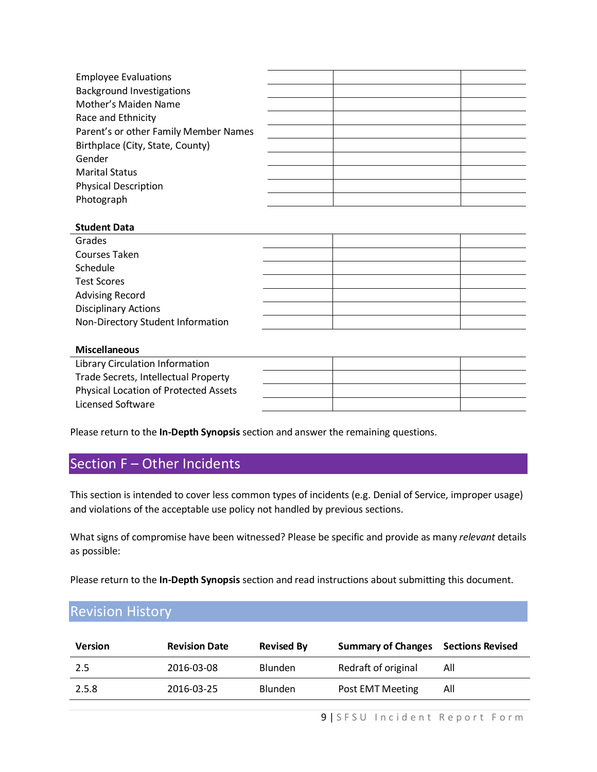| <b>Employee Evaluations</b>           |  |  |
|---------------------------------------|--|--|
| <b>Background Investigations</b>      |  |  |
| Mother's Maiden Name                  |  |  |
| Race and Ethnicity                    |  |  |
| Parent's or other Family Member Names |  |  |
| Birthplace (City, State, County)      |  |  |
| Gender                                |  |  |
| <b>Marital Status</b>                 |  |  |
| <b>Physical Description</b>           |  |  |
| Photograph                            |  |  |

#### **Student Data**

| Grades                            |  |  |
|-----------------------------------|--|--|
| Courses Taken                     |  |  |
| Schedule                          |  |  |
| <b>Test Scores</b>                |  |  |
| <b>Advising Record</b>            |  |  |
| <b>Disciplinary Actions</b>       |  |  |
| Non-Directory Student Information |  |  |

#### **Miscellaneous**

| Library Circulation Information              |  |  |
|----------------------------------------------|--|--|
| Trade Secrets, Intellectual Property         |  |  |
| <b>Physical Location of Protected Assets</b> |  |  |
| Licensed Software                            |  |  |

Please return to the **In-Depth Synopsis** section and answer the remaining questions.

# Section F – Other Incidents

This section is intended to cover less common types of incidents (e.g. Denial of Service, improper usage) and violations of the acceptable use policy not handled by previous sections.

What signs of compromise have been witnessed? Please be specific and provide as many *relevant* details as possible:

Please return to the **In-Depth Synopsis** section and read instructions about submitting this document.

## Revision History

| <b>Version</b> | <b>Revision Date</b> | <b>Revised By</b> | <b>Summary of Changes</b> | <b>Sections Revised</b> |
|----------------|----------------------|-------------------|---------------------------|-------------------------|
| 2.5            | 2016-03-08           | <b>Blunden</b>    | Redraft of original       | All                     |
| 2.5.8          | 2016-03-25           | <b>Blunden</b>    | Post EMT Meeting          | All                     |